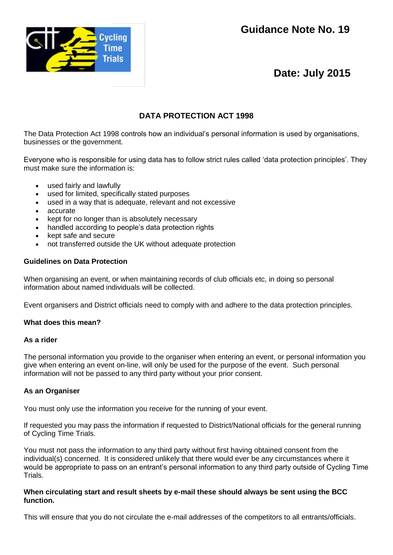



# **Date: July 2015**

# **DATA PROTECTION ACT 1998**

The Data Protection Act 1998 controls how an individual's personal information is used by organisations, businesses or the government.

Everyone who is responsible for using data has to follow strict rules called 'data protection principles'. They must make sure the information is:

- used fairly and lawfully
- used for limited, specifically stated purposes
- used in a way that is adequate, relevant and not excessive
- accurate
- kept for no longer than is absolutely necessary
- handled according to people's data protection rights
- kept safe and secure
- not transferred outside the UK without adequate protection

## **Guidelines on Data Protection**

When organising an event, or when maintaining records of club officials etc, in doing so personal information about named individuals will be collected.

Event organisers and District officials need to comply with and adhere to the data protection principles.

### **What does this mean?**

### **As a rider**

The personal information you provide to the organiser when entering an event, or personal information you give when entering an event on-line, will only be used for the purpose of the event. Such personal information will not be passed to any third party without your prior consent.

### **As an Organiser**

You must only use the information you receive for the running of your event.

If requested you may pass the information if requested to District/National officials for the general running of Cycling Time Trials.

You must not pass the information to any third party without first having obtained consent from the individual(s) concerned. It is considered unlikely that there would ever be any circumstances where it would be appropriate to pass on an entrant's personal information to any third party outside of Cycling Time Trials.

### **When circulating start and result sheets by e-mail these should always be sent using the BCC function.**

This will ensure that you do not circulate the e-mail addresses of the competitors to all entrants/officials.